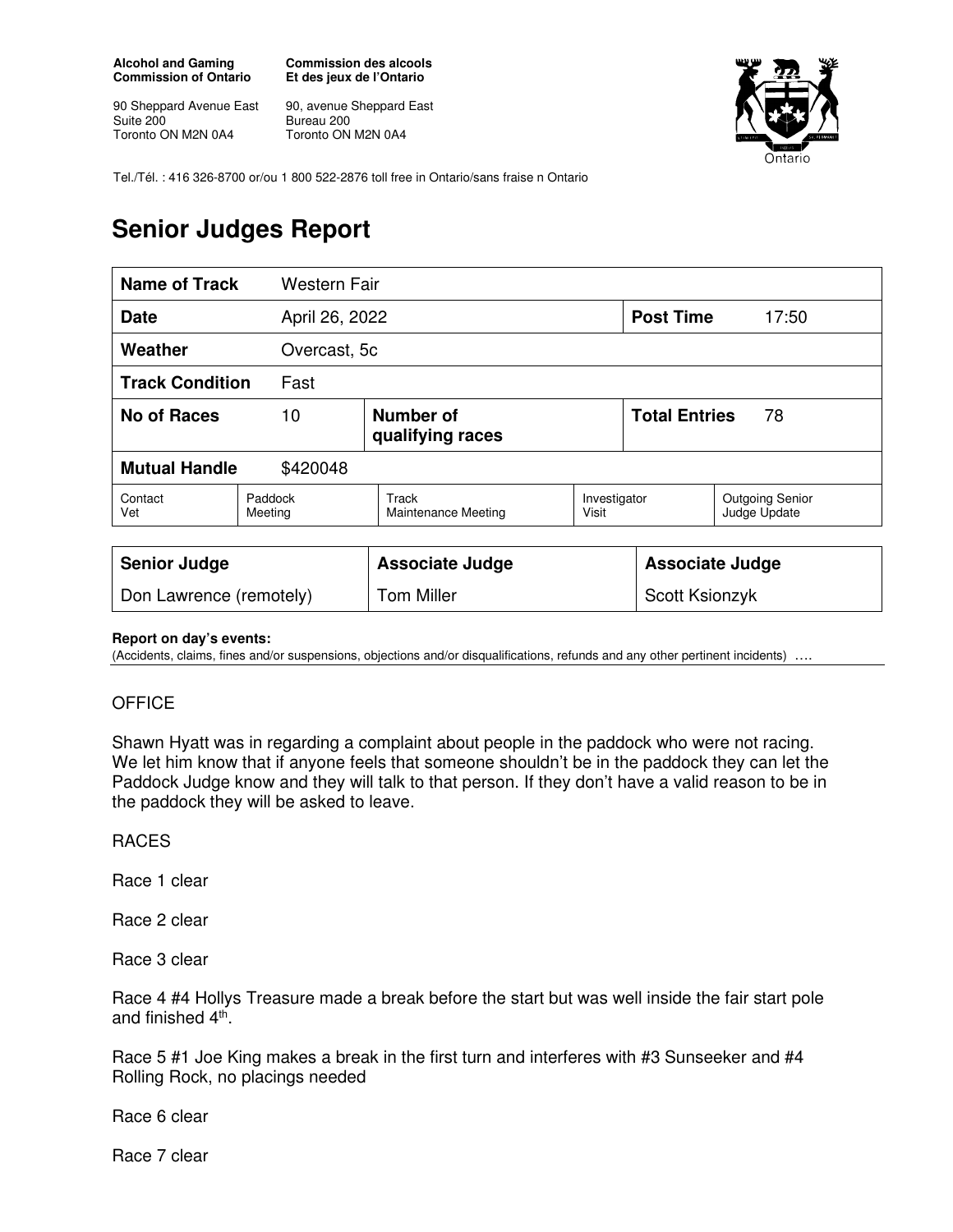**Alcohol and Gaming Commission of Ontario** 

90 Sheppard Avenue East Suite 200 Toronto ON M2N 0A4

**Commission des alcools Et des jeux de l'Ontario** 

90, avenue Sheppard East Bureau 200 Toronto ON M2N 0A4



Tel./Tél. : 416 326-8700 or/ou 1 800 522-2876 toll free in Ontario/sans fraise n Ontario

## **Senior Judges Report**

| <b>Name of Track</b>             |                    | <b>Western Fair</b> |                                            |                       |                            |                                        |
|----------------------------------|--------------------|---------------------|--------------------------------------------|-----------------------|----------------------------|----------------------------------------|
| <b>Date</b>                      |                    | April 26, 2022      |                                            |                       | <b>Post Time</b>           | 17:50                                  |
| Weather                          |                    | Overcast, 5c        |                                            |                       |                            |                                        |
| <b>Track Condition</b><br>Fast   |                    |                     |                                            |                       |                            |                                        |
| <b>No of Races</b><br>10         |                    |                     | <b>Number of</b><br>qualifying races       |                       | <b>Total Entries</b><br>78 |                                        |
| <b>Mutual Handle</b><br>\$420048 |                    |                     |                                            |                       |                            |                                        |
| Contact<br>Vet                   | Paddock<br>Meeting |                     | <b>Track</b><br><b>Maintenance Meeting</b> | Investigator<br>Visit |                            | <b>Outgoing Senior</b><br>Judge Update |
|                                  |                    |                     |                                            |                       |                            |                                        |
| <b>Senior Judge</b>              |                    |                     | <b>Associate Judge</b>                     |                       | <b>Associate Judge</b>     |                                        |
| Don Lawrence (remotely)          |                    |                     | <b>Tom Miller</b>                          |                       | Scott Ksionzyk             |                                        |

## **Report on day's events:**

(Accidents, claims, fines and/or suspensions, objections and/or disqualifications, refunds and any other pertinent incidents) ….

## **OFFICE**

Shawn Hyatt was in regarding a complaint about people in the paddock who were not racing. We let him know that if anyone feels that someone shouldn't be in the paddock they can let the Paddock Judge know and they will talk to that person. If they don't have a valid reason to be in the paddock they will be asked to leave.

## RACES

Race 1 clear

Race 2 clear

Race 3 clear

Race 4 #4 Hollys Treasure made a break before the start but was well inside the fair start pole and finished 4<sup>th</sup>.

Race 5 #1 Joe King makes a break in the first turn and interferes with #3 Sunseeker and #4 Rolling Rock, no placings needed

Race 6 clear

Race 7 clear